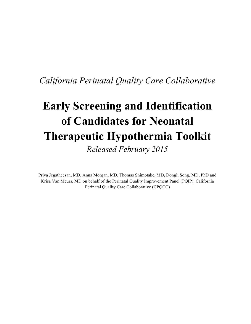# *California Perinatal Quality Care Collaborative*

# **Early Screening and Identification of Candidates for Neonatal Therapeutic Hypothermia Toolkit** *Released February 2015*

Priya Jegatheesan, MD, Anna Morgan, MD, Thomas Shimotake, MD, Dongli Song, MD, PhD and Krisa Van Meurs, MD on behalf of the Perinatal Quality Improvement Panel (PQIP), California Perinatal Quality Care Collaborative (CPQCC)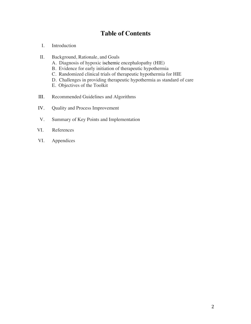# **Table of Contents**

- I. Introduction
- II. Background, Rationale, and Goals
	- A. Diagnosis of hypoxic ischemic encephalopathy (HIE)
	- B. Evidence for early initiation of therapeutic hypothermia
	- C. Randomized clinical trials of therapeutic hypothermia for HIE
	- D. Challenges in providing therapeutic hypothermia as standard of care
	- E. Objectives of the Toolkit
- III. Recommended Guidelines and Algorithms
- IV. Quality and Process Improvement
- V. Summary of Key Points and Implementation
- VI. References
- VI. Appendices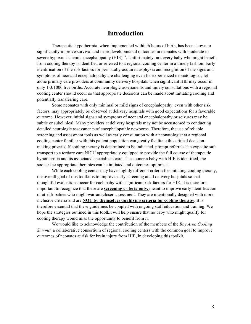## **Introduction**

Therapeutic hypothermia, when implemented within 6 hours of birth, has been shown to significantly improve survival and neurodevelopmental outcomes in neonates with moderate to severe hypoxic ischemic encephalopathy  $(HIE)^{19}$ . Unfortunately, not every baby who might benefit from cooling therapy is identified or referred to a regional cooling center in a timely fashion. Early identification of the risk factors for perinatally-acquired asphyxia and recognition of the signs and symptoms of neonatal encephalopathy are challenging even for experienced neonatologists, let alone primary care providers at community delivery hospitals when significant HIE may occur in only 1-3/1000 live births. Accurate neurologic assessments and timely consultations with a regional cooling center should occur so that appropriate decisions can be made about initiating cooling and potentially transferring care.

Some neonates with only minimal or mild signs of encephalopathy, even with other risk factors, may appropriately be observed at delivery hospitals with good expectations for a favorable outcome. However, initial signs and symptoms of neonatal encephalopathy or seizures may be subtle or subclinical. Many providers at delivery hospitals may not be accustomed to conducting detailed neurologic assessments of encephalopathic newborns. Therefore, the use of reliable screening and assessment tools as well as early consultation with a neonatologist at a regional cooling center familiar with this patient population can greatly facilitate this critical decisionmaking process. If cooling therapy is determined to be indicated, prompt referrals can expedite safe transport to a tertiary care NICU appropriately equipped to provide the full course of therapeutic hypothermia and its associated specialized care. The sooner a baby with HIE is identified, the sooner the appropriate therapies can be initiated and outcomes optimized.

While each cooling center may have slightly different criteria for initiating cooling therapy, the overall goal of this toolkit is to improve early screening at all delivery hospitals so that thoughtful evaluations occur for each baby with significant risk factors for HIE. It is therefore important to recognize that these are **screening criteria only,** meant to improve early identification of at-risk babies who might warrant closer assessment. They are intentionally designed with more inclusive criteria and are **NOT by themselves qualifying criteria for cooling therapy**. It is therefore essential that these guidelines be coupled with ongoing staff education and training. We hope the strategies outlined in this toolkit will help ensure that no baby who might qualify for cooling therapy would miss the opportunity to benefit from it.

We would like to acknowledge the contribution of the members of the *Bay Area Cooling Summit,* a collaborative consortium of regional cooling centers with the common goal to improve outcomes of neonates at risk for brain injury from HIE, in developing this toolkit*.*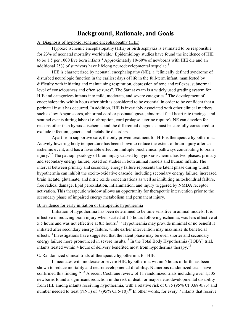## **Background, Rationale, and Goals**

#### A. Diagnosis of hypoxic ischemic encephalopathy (HIE)

 Hypoxic ischemic encephalopathy (HIE) or birth asphyxia is estimated to be responsible for 23% of neonatal mortality worldwide.<sup>1</sup> Epidemiology studies have found the incidence of HIE to be 1.5 per 1000 live born infants.<sup>2</sup> Approximately 10-60% of newborns with HIE die and an additional  $25\%$  of survivors have lifelong neurodevelopmental sequelae.<sup>3</sup>

 HIE is characterized by neonatal encephalopathy (NE), a "clinically defined syndrome of disturbed neurologic function in the earliest days of life in the full-term infant, manifested by difficulty with initiating and maintaining respiration, depression of tone and reflexes, subnormal level of consciousness and often seizures". The Sarnat exam is a widely used grading system for HIE and categorizes infants into mild, moderate, and severe categories.<sup>4</sup> The development of encephalopathy within hours after birth is considered to be essential in order to be confident that a perinatal insult has occurred. In addition, HIE is invariably associated with other clinical markers such as low Apgar scores, abnormal cord or postnatal gases, abnormal fetal heart rate tracings, and sentinel events during labor (i.e. abruption, cord prolapse, uterine rupture). NE can develop for reasons other than hypoxia ischemia and the differential diagnosis must be carefully considered to exclude infection, genetic and metabolic disorders.

 Apart from supportive care, the only proven treatment for HIE is therapeutic hypothermia. Actively lowering body temperature has been shown to reduce the extent of brain injury after an ischemic event, and has a favorable effect on multiple biochemical pathways contributing to brain injury.5-7 The pathophysiology of brain injury caused by hypoxia-ischemia has two phases; primary and secondary energy failure, based on studies in both animal models and human infants. The interval between primary and secondary energy failure represents the latent phase during which hypothermia can inhibit the excito-oxidative cascade, including secondary energy failure, increased brain lactate, glutamate, and nitric oxide concentrations as well as inhibiting mitochondrial failure, free radical damage, lipid peroxidation, inflammation, and injury triggered by NMDA receptor activation. This therapeutic window allows an opportunity for therapeutic intervention prior to the secondary phase of impaired energy metabolism and permanent injury.

#### B. Evidence for early initiation of therapeutic hypothermia

Initiation of hypothermia has been determined to be time sensitive in animal models. It is effective in reducing brain injury when started at 1.5 hours following ischemia, was less effective at 5.5 hours and was not effective at 8.5 hours.<sup>8-10</sup> Hypothermia may provide minimal or no benefit if initiated after secondary energy failure, while earlier intervention may maximize its beneficial effects.<sup>11</sup> Investigations have suggested that the latent phase may be even shorter and secondary energy failure more pronounced in severe insults.<sup>11</sup> In the Total Body Hypothermia (TOBY) trial, infants treated within 4 hours of delivery benefited most from hypothermia therapy.<sup>12</sup>

#### C. Randomized clinical trials of therapeutic hypothermia for HIE

 In neonates with moderate or severe HIE, hypothermia within 6 hours of birth has been shown to reduce mortality and neurodevelopmental disability. Numerous randomized trials have confirmed this finding.<sup>12-18</sup> A recent Cochrane review of 11 randomized trials including over 1,505 newborns found a significant reduction in the risk of death or major neurodevelopmental disability from HIE among infants receiving hypothermia, with a relative risk of 0.75 (95% CI 0.68-0.83) and number needed to treat (NNT) of 7 (95% CI 5-10).<sup>19</sup> In other words, for every 7 infants that receive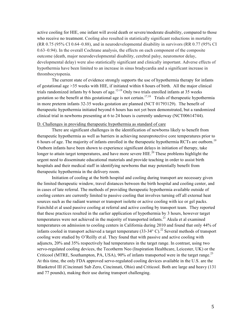active cooling for HIE, one infant will avoid death or severe/moderate disability, compared to those who receive no treatment. Cooling also resulted in statistically significant reductions in mortality (RR 0.75 (95% CI 0.64–0.88), and in neurodevelopmental disability in survivors (RR 0.77 (95% CI 0.63–0.94). In the overall Cochrane analysis, the effects on each component of the composite outcome (death, major neurodevelopmental disability, cerebral palsy, neuromotor delay, developmental delay) were also statistically significant and clinically important. Adverse effects of hypothermia have been limited to an increase in sinus bradycardia and a significant increase in thrombocytopenia.

The current state of evidence strongly supports the use of hypothermia therapy for infants of gestational age >35 weeks with HIE, if initiated within 6 hours of birth. All the major clinical trials randomized infants by 6 hours of age.<sup>12-19</sup> Only two trials enrolled infants at 35 weeks gestation so the benefit at this gestational age is not certain.17,18 Trials of therapeutic hypothermia in more preterm infants 32-35 weeks gestation are planned (NCT 01793129). The benefit of therapeutic hypothermia initiated beyond 6 hours has not yet been demonstrated, but a randomized clinical trial in newborns presenting at 6 to 24 hours is currently underway (NCT00614744).

#### D. Challenges in providing therapeutic hypothermia as standard of care

 There are significant challenges in the identification of newborns likely to benefit from therapeutic hypothermia as well as barriers in achieving neuroprotective core temperatures prior to 6 hours of age. The majority of infants enrolled in the therapeutic hypothermia RCTs are outborn.<sup>19</sup> Outborn infants have been shown to experience significant delays in initiation of therapy, take longer to attain target temperatures, and have more severe HIE.<sup>20</sup> These problems highlight the urgent need to disseminate educational materials and provide teaching in order to assist birth hospitals and their medical staff in identifying newborns that may potentially benefit from therapeutic hypothermia in the delivery room.

 Initiation of cooling at the birth hospital and cooling during transport are necessary given the limited therapeutic window, travel distances between the birth hospital and cooling center, and in cases of late referral. The methods of providing therapeutic hypothermia available outside of cooling centers are currently limited to passive cooling that involves turning off all external heat sources such as the radiant warmer or transport isolette or active cooling with ice or gel packs. Fairchild et al used passive cooling at referral and active cooling by transport team. They reported that these practices resulted in the earlier application of hypothermia by 3 hours, however target temperatures were not achieved in the majority of transported infants.<sup>21</sup> Akula et al examined temperatures on admission to cooling centers in California during 2010 and found that only 44% of infants cooled in transport achieved a target temperature  $(33-34^{\circ} \text{ C})$ .<sup>22</sup> Several methods of transport cooling were studied by O'Reilly et al. They found that with passive and active cooling with adjuncts, 20% and 35% respectively had temperatures in the target range. In contrast, using two servo-regulated cooling devices, the Tecotherm Neo (Inspiration Healthcare, Leicester, UK) or the Criticool (MTRE, Southampton, PA, USA), 90% of infants transported were in the target range.<sup>23</sup> At this time, the only FDA approved servo-regulated cooling devices available in the U.S. are the Blanketrol III (Cincinnati Sub Zero, Cincinnati, Ohio) and Criticool. Both are large and heavy (131 and 77 pounds), making their use during transport challenging.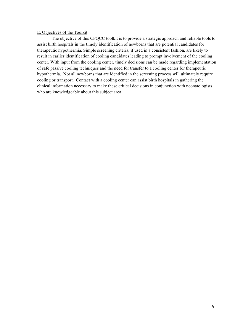#### E. Objectives of the Toolkit

The objective of this CPQCC toolkit is to provide a strategic approach and reliable tools to assist birth hospitals in the timely identification of newborns that are potential candidates for therapeutic hypothermia. Simple screening criteria, if used in a consistent fashion, are likely to result in earlier identification of cooling candidates leading to prompt involvement of the cooling center. With input from the cooling center, timely decisions can be made regarding implementation of safe passive cooling techniques and the need for transfer to a cooling center for therapeutic hypothermia. Not all newborns that are identified in the screening process will ultimately require cooling or transport. Contact with a cooling center can assist birth hospitals in gathering the clinical information necessary to make these critical decisions in conjunction with neonatologists who are knowledgeable about this subject area.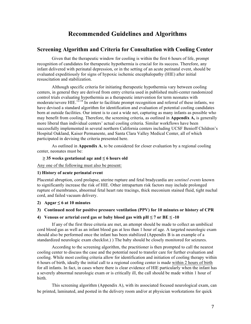## **Recommended Guidelines and Algorithms**

## **Screening Algorithm and Criteria for Consultation with Cooling Center**

Given that the therapeutic window for cooling is within the first 6 hours of life, prompt recognition of candidates for therapeutic hypothermia is crucial for its success. Therefore, any infant delivered with perinatal depression, or in the setting of an acute perinatal event, should be evaluated expeditiously for signs of hypoxic ischemic encephalopathy (HIE) after initial resuscitation and stabilization.

Although specific criteria for initiating therapeutic hypothermia vary between cooling centers, in general they are derived from entry criteria used in published multi-center randomized control trials evaluating hypothermia as a therapeutic intervention for term neonates with moderate/severe HIE.<sup>12-18</sup> In order to facilitate prompt recognition and referral of these infants, we have devised a standard algorithm for identification and evaluation of potential cooling candidates born at outside facilities. Our intent is to cast a wide net, capturing as many infants as possible who may benefit from cooling. Therefore, the screening criteria, as outlined in **Appendix A,** is generally more liberal than individual centers' actual cooling criteria. Similar workflows have been successfully implemented in several northern California centers including UCSF Benioff Children's Hospital Oakland, Kaiser Permanente, and Santa Clara Valley Medical Center, all of which participated in devising the criteria presented here.

As outlined in **Appendix A**, to be considered for closer evaluation by a regional cooling center, neonates must be:

#### **≥ 35 weeks gestational age and ≤ 6 hours old**

Any one of the following must also be present:

#### **1) History of acute perinatal event**

Placental abruption, cord prolapse, uterine rupture and fetal bradycardia are *sentinel events* known to significantly increase the risk of HIE. Other intrapartum risk factors may include prolonged rupture of membranes, abnormal fetal heart rate tracings, thick meconium stained fluid, tight nuchal cord, and failed vacuum delivery.

## **2)** Apgar  $\leq 6$  at 10 minutes

#### **3) Continued need for positive pressure ventilation (PPV) for 10 minutes or history of CPR**

#### **4)** Venous or arterial cord gas or baby blood gas with  $pH \le 7$  or  $BE \le -10$

If any of the first three criteria are met, an attempt should be made to collect an umbilical cord blood gas as well as an infant blood gas at less than 1 hour of age. A targeted neurologic exam should also be performed once the infant has been stabilized (Appendix B is an example of a standardized neurologic exam checklist.) ) The baby should be closely monitored for seizures.

According to the screening algorithm, the practitioner is then prompted to call the nearest cooling center to discuss the case and the potential need to transfer care for further evaluation and cooling. While most cooling criteria allow for identification and initiation of cooling therapy within 6 hours of birth, ideally the initial call to a regional cooling center is made within 2 hours of birth for all infants. In fact, in cases where there is clear evidence of HIE particularly when the infant has a severely abnormal neurologic exam or is critically ill, the call should be made within 1 hour of birth.

This screening algorithm (Appendix A), with its associated focused neurological exam, can be printed, laminated, and posted in the delivery room and/or at physician workstations for quick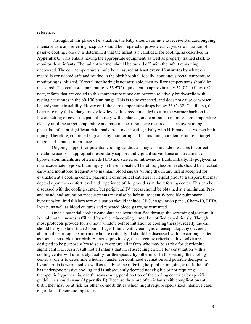reference.

Throughout this phase of evaluation, the baby should continue to receive standard ongoing intensive care and referring hospitals should be prepared to provide early, yet safe initiation of passive cooling , once it is determined that the infant is a candidate for cooling, as described in **Appendix C**. This entails having the appropriate equipment, as well as properly trained staff, to monitor these infants. The radiant warmer should be turned off, with the infant remaining uncovered. The core temperature should be measured **at least every 15 minutes** by whatever means is considered safe and routine in the birth hospital. Ideally, continuous rectal temperature monitoring is initiated. If rectal monitoring is not available, then axillary temperatures should be measured. The goal core temperature is 33.5<sup>o</sup>C (equivalent to approximately 32.5<sup>o</sup>C axillary). Of note, infants that are cooled to this temperature range can become relatively bradycardic with resting heart rates in the 80-100 bpm range. This is to be expected, and does not cause or worsen hemodynamic instability. However, if the core temperature drops below  $33^{\circ}C(32^{\circ}C \text{ axillary})$ , the heart rate may fall to dangerously low levels. It is recommended to turn the warmer back on its lowest setting or cover the patient loosely with a blanket, and continue to monitor core temperatures closely until the target temperature and baseline heart rates are restored. Just as overcooling can place the infant at significant risk, inadvertent over-heating a baby with HIE may also worsen brain injury. Therefore, continued vigilance by monitoring and maintaining core temperature in target range is of upmost importance.

Ongoing support for potential cooling candidates may also include measures to correct metabolic acidosis, appropriate respiratory support and vigilant surveillance and treatment of hypotension. Infants are often made NPO and started on intravenous fluids initially. Hypoglycemia may exacerbate hypoxic brain injury in these neonates. Therefore, glucose levels should be checked early and monitored frequently to maintain blood sugars >50mg/dl). In any infant accepted for evaluation at a cooling center, placement of umbilical catheters is helpful prior to transport, but may depend upon the comfort level and experience of the providers at the referring center. This can be discussed with the cooling center, but peripheral IV access should be obtained at a minimum. Preand postductal saturation measurements may also be helpful to identify possible pulmonary hypertension. Initial laboratory evaluation should include CBC, coagulation panel, Chem-10, LFTs, lactate, as well as blood cultures and repeated blood gases, as warranted.

Once a potential cooling candidate has been identified through the screening algorithm, it is vital that the nearest affiliated hypothermia/cooling center be notified expeditiously. Though most protocols provide for a 6 hour window before initiation of cooling therapy, ideally the call should be by no later than 2 hours of age. Infants with clear signs of encephalopathy (severely abnormal neurologic exam) and who are critically ill should be discussed with the cooling center as soon as possible after birth. As noted previously, the screening criteria in this toolkit are designed to be purposely broad so as to capture all infants who may be at risk for developing significant HIE. As a result, not all infants that meet screening criteria for consultation with a cooling center will ultimately qualify for therapeutic hypothermia. In this setting, the cooling center's role is to determine whether transfer for continued evaluation and possible therapeutic hypothermia is warranted, as well as to advise the referring hospital on ongoing care. If the infant has undergone passive cooling and is subsequently deemed not eligible or not requiring therapeutic hypothermia, careful re-warming per direction of the cooling center or by specific guidelines should ensue (**Appendix E**). Because these are often infants with complications at birth, they may be at risk for other co-morbidities which might require specialized intensive care, regardless of their cooling status.

8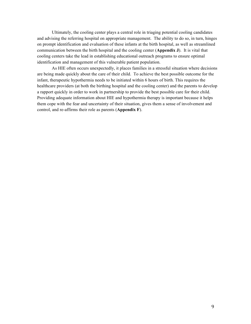Ultimately, the cooling center plays a central role in triaging potential cooling candidates and advising the referring hospital on appropriate management. The ability to do so, in turn, hinges on prompt identification and evaluation of these infants at the birth hospital, as well as streamlined communication between the birth hospital and the cooling center (**Appendix J**). It is vital that cooling centers take the lead in establishing educational outreach programs to ensure optimal identification and management of this vulnerable patient population.

As HIE often occurs unexpectedly, it places families in a stressful situation where decisions are being made quickly about the care of their child. To achieve the best possible outcome for the infant, therapeutic hypothermia needs to be initiated within 6 hours of birth. This requires the healthcare providers (at both the birthing hospital and the cooling center) and the parents to develop a rapport quickly in order to work in partnership to provide the best possible care for their child. Providing adequate information about HIE and hypothermia therapy is important because it helps them cope with the fear and uncertainty of their situation, gives them a sense of involvement and control, and re-affirms their role as parents (**Appendix F**).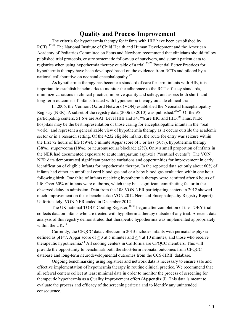## **Quality and Process Improvement**

The criteria for hypothermia therapy for infants with HIE have been established by RCTs.<sup>12-18</sup> The National Institute of Child Health and Human Development and the American Academy of Pediatrics Committee on Fetus and Newborn recommend that clinicians should follow published trial protocols, ensure systematic follow-up of survivors, and submit patient data to registries when using hypothermia therapy outside of a trial.25-26 Potential Better Practices for hypothermia therapy have been developed based on the evidence from RCTs and piloted by a national collaborative on neonatal encephalopathy. $27$ 

As hypothermia therapy has become a standard of care for term infants with HIE, it is important to establish benchmarks to monitor the adherence to the RCT efficacy standards, minimize variations in clinical practice, improve quality and safety, and assess both short- and long-term outcomes of infants treated with hypothermia therapy outside clinical trials.

In 2006, the Vermont Oxford Network (VON) established the Neonatal Encephalopathy Registry (NER). A subset of the registry data (2006 to 2010) was published.<sup>28,29</sup> Of the 95 participating centers, 51.6% are AAP Level IIIB and 34.7% are IIIC and IIID.<sup>30</sup> Thus, NER hospitals may be the best representation of those caring for encephalopathic infants in the "real world" and represent a generalizable view of hypothermia therapy as it occurs outside the academic sector or in a research setting. Of the 4232 eligible infants, the route for entry was seizure within the first 72 hours of life (59%), 5 minute Apgar score of 3 or less (50%), hypothermia therapy (38%), stupor/coma (18%), or neuromuscular blockade (2%). Only a small proportion of infants in the NER had documented exposure to acute intrapartum asphyxia ("sentinel events"). The VON NER data demonstrated significant practice variations and opportunities for improvement in early identification of eligible infants for hypothermia therapy. In the reported data set only about 60% of infants had either an umbilical cord blood gas and or a baby blood gas evaluation within one hour following birth. One third of infants receiving hypothermia therapy were admitted after 6 hours of life. Over 60% of infants were outborns, which may be a significant contributing factor in the observed delay in admission. Data from the 108 VON NER participating centers in 2012 showed much improvement on these benchmarks (VON 2012 Neonatal Encephalopathy Registry Report). Unfortunately, VON NER ended in December 2012.

The UK national TOBY Cooling Register,<sup>31-32</sup> begun after completion of the TOBY trial, collects data on infants who are treated with hypothermia therapy outside of any trial. A recent data analysis of this registry demonstrated that therapeutic hypothermia was implemented appropriately within the UK $^{33}$ 

Currently, the CPQCC data collection in 2013 includes infants with perinatal asphyxia defined as  $pH \le 7$ . Apgar score of  $\le 3$  at 5 minutes and  $\le 4$  at 10 minutes, and those who receive therapeutic hypothermia.<sup>34</sup> All cooling centers in California are CPQCC members. This will provide the opportunity to benchmark both the short-term neonatal outcomes from CPQCC database and long-term neurodevelopmental outcomes from the CCS-HRIF database.

Ongoing benchmarking using registries and network data is necessary to ensure safe and effective implementation of hypothermia therapy in routine clinical practice. We recommend that all referral centers collect at least minimal data in order to monitor the process of screening for therapeutic hypothermia as a Quality Improvement effort (**Appendix J**). This data is meant to evaluate the process and efficacy of the screening criteria and to identify any unintended consequence.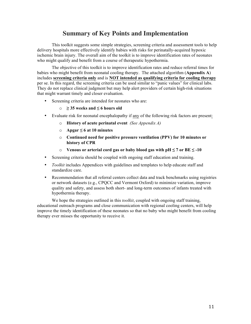## **Summary of Key Points and Implementation**

This toolkit suggests some simple strategies, screening criteria and assessment tools to help delivery hospitals more effectively identify babies with risks for perinatally-acquired hypoxic ischemic brain injury. The overall aim of the toolkit is to improve identification rates of neonates who might qualify and benefit from a course of therapeutic hypothermia.

The objective of this toolkit is to improve identification rates and reduce referral times for babies who might benefit from neonatal cooling therapy. The attached algorithm (**Appendix A**) includes **screening criteria only** and is **NOT intended as qualifying criteria for cooling therapy** per se. In this regard, the screening criteria can be used similar to "panic values" for clinical labs. They do not replace clinical judgment but may help alert providers of certain high-risk situations that might warrant timely and closer evaluation.

- Screening criteria are intended for neonates who are:
	- o **≥ 35 weeks and ≤ 6 hours old**
- Evaluate risk for neonatal encephalopathy if any of the following risk factors are present:
	- o **History of acute perinatal event** *(See Appendix A)*
	- o **Apgar ≤ 6 at 10 minutes**
	- o **Continued need for positive pressure ventilation (PPV) for 10 minutes or history of CPR**
	- o **Venous or arterial cord gas or baby blood gas with pH ≤ 7 or BE ≤ -10**
- Screening criteria should be coupled with ongoing staff education and training.
- *Toolkit* includes Appendices with guidelines and templates to help educate staff and standardize care.
- Recommendation that all referral centers collect data and track benchmarks using registries or network datasets (e.g., CPQCC and Vermont Oxford) to minimize variation, improve quality and safety, and assess both short- and long-term outcomes of infants treated with hypothermia therapy.

We hope the strategies outlined in this *toolkit*, coupled with ongoing staff training, educational outreach programs and close communication with regional cooling centers, will help improve the timely identification of these neonates so that no baby who might benefit from cooling therapy ever misses the opportunity to receive it.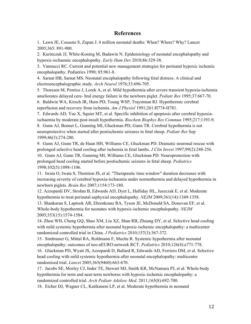## **References**

1. Lawn JE, Cousens S, Zupan J. 4 million neonatal deaths: When? Where? Why? Lancet 2005;365: 891-900.

2. Kurinczuk JJ, White-Koning M, Badawin N. Epidemiology of neonatal encephalopathy and hypoxic-ischaemic encephalopathy. *Early Hum Dev* 2010;86:329-38.

3. Vannucci RC. Current and potential new management strategies for perinatal hypoxic ischemic encephalopathy. Pediatrics 1990; 85:961-8.

4. Sarnat HB, Sarnat MS. Neonatal encephalopathy following fetal distress. A clinical and electroencephalographic study. *Arch Neurol* 1976;33:696-705.

5. Thoresen M, Penrice J, Lorek A, et al. Mild hypothermia after severe transient hypoxia-ischemia ameliorates delayed cere- bral energy failure in the newborn piglet. *Pediatr Res* 1995;37:667-70.

6. Baldwin WA, Kirsch JR, Hurn PD, Toung WSP, Traystman RJ. Hypothermic cerebral reperfusion and recovery from ischemia. *Am J Physiol* 1991;261:H774-H781.

7. Edwards AD, Yue X, Squier MT, et al. Specific inhibition of apoptosis after cerebral hypoxiaischaemia by moderate post-insult hypothermia. *Biochem Biophys Res Commun* 1995;217:1193-9.

8. Gunn AJ, Bennet L, Gunning MI, Gluckman PD, Gunn TR. Cerebral hypothermia is not neuroprotective when started after postischemic seizures in fetal sheep. *Pediatr Res* Sep 1999;46(3):274-280.

9.Gunn AJ, Gunn TR, de Haan HH, Williams CE, Gluckman PD. Dramatic neuronal rescue with prolonged selective head cooling after ischemia in fetal lambs. *J Clin Invest* 1997;99(2):248-256. 10. Gunn AJ, Gunn TR, Gunning MI, Williams CE, Gluckman PD. Neuroprotection with prolonged head cooling started before postischemic seizures in fetal sheep. *Pediatrics*  1998;102(5):1098-1106.

11. Iwata O, Iwata S, Thornton JS, et al. "Therapeutic time window" duration decreases with increasing severity of cerebral hypoxia-ischaemia under normothermia and delayed hypothermia in newborn piglets. *Brain Res* 2007;1154:173-180.

12. Azzopardi DV, Strohm B, Edwards AD, Dyet L, Halliday HL, Juszczak E, et al. Moderate hypothermia to treat perinatal asphyxial encephalopathy. *NEJM* 2009;361(14):1349-1358.

13. Shankaran S, Laptook AR, Ehrenkranz RA, Tyson JE, McDonald SA, Donovan EF, et al. Whole-body hypothermia for neonates with hypoxic-ischemic encephalopathy. *NEJM* 2005;353(15):1574-1584.

14. Zhou WH, Cheng GQ, Shao XM, Liu XZ, Shan RB, Zhuang DY, et al. Selective head cooling with mild systemic hypothermia after neonatal hypoxic-ischemic encephalopathy: a multicenter randomized controlled trial in China. *J Pediatrics* 2010;157(3):367-372.

15. Simbruner G, Mittal RA, Rohlmann F, Muche R. Systemic hypothermia after neonatal encephalopathy: outcomes of neo.nEURO.network RCT. *Pediatrics* 2010;126(4):e771-778.

16. Gluckman PD, Wyatt JS, Azzopardi D, Ballard R, Edwards AD, Ferriero DM, et al. Selective head cooling with mild systemic hypothermia after neonatal encephalopathy: multicentre randomised trial. *Lancet* 2005;365(9460):663-670.

17. Jacobs SE, Morley CJ, Inder TE, Stewart MJ, Smith KR, McNamara PJ, et al. Whole-body hypothermia for term and near-term newborns with hypoxic-ischemic encephalopathy: a randomized controlled trial. *Arch Pediatr Adolesc Med*. 2011;165(8):692-700.

18. Eicher DJ, Wagner CL, Katikaneni LP, et al. Moderate hypothermia in neonatal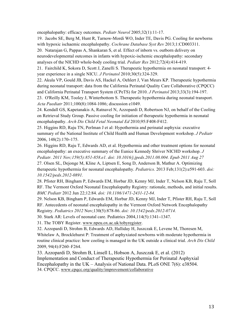encephalopathy: efficacy outcomes. *Pediatr Neurol* 2005;32(1):11-17.

19. Jacobs SE, Berg M, Hunt R, Tarnow-Mordi WO, Inder TE, Davis PG. Cooling for newborns with hypoxic ischaemic encephalopathy. *Cochrane Database Syst Rev* 2013;1:CD003311.

20. Natarajan G, Pappas A, Shankaran S, et al. Effect of inborn vs. outborn delivery on neurodevelopmental outcomes in infants with hypoxic-ischemic encephalopathy: secondary analyses of the NICHD whole-body cooling trial. *Pediatr Res* 2012;72(4):414-419.

21. Fairchild K, Sokora D, Scott J, Zanelli S. Therapeutic hypothermia on neonatal transport: 4 year experience in a single NICU. *J Perinatol* 2010;30(5):324-329.

22. Akula VP, Gould JB, Davis AS, Hackel A, Oehlert J, Van Meurs KP. Therapeutic hypothermia during neonatal transport: data from the California Perinatal Quality Care Collaborative (CPQCC) and California Perinatal Transport System (CPeTS) for 2010. *J Perinatol* 2013;33(3):194-197.

23. O'Reilly KM, Tooley J, Winterbottom S. Therapeutic hypothermia during neonatal transport. *Acta Paediatr* 2011;100(8):1084-1086; discussion e1049.

24. Kendall GS, Kapetanakis A, Ratnavel N, Azzopardi D, Robertson NJ, on behalf of the Cooling on Retrieval Study Group. Passive cooling for initiation of therapeutic hypothermia in neonatal encephalopathy. *Arch Dis Child Fetal Neonatal Ed* 2010;95:F408-F412.

25. Higgins RD, Raju TN, Perlman J et al: Hypothermia and perinatal asphyxia: executive summary of the National Institute of Child Health and Human Development workshop. *J Pediatr*  2006, 148(2):170**–**175.

26. Higgins RD, Raju T, Edwards AD, et al. Hypothermia and other treatment options for neonatal encephalopathy: an executive summary of the Eunice Kennedy Shriver NICHD workshop. *J Pediatr. 2011 Nov;159(5):851-858.e1. doi: 10.1016/j.jpeds.2011.08.004. Epub 2011 Aug 27*

27. Olsen SL, Dejonge M, Kline A, Liptsen E, Song D, Anderson B, Mathur A. Optimizing therapeutic hypothermia for neonatal encephalopathy. *Pediatrics.* 2013 Feb;131(2):e591-603. *doi: 10.1542/peds.2012-0891.*

28. Pfister RH, Bingham P, Edwards EM, Horbar JD, Kenny MJ, Inder T, Nelson KB, Raju T, Soll RF. The Vermont Oxford Neonatal Encephalopathy Registry: rationale, methods, and initial results. *BMC Pediatr* 2012 Jun 22;12:84. *doi: 10.1186/1471-2431-12-84.*

29. Nelson KB, Bingham P, Edwards EM, Horbar JD, Kenny MJ, Inder T, Pfister RH, Raju T, Soll RF. Antecedents of neonatal encephalopathy in the Vermont Oxford Network Encephalopathy Registry. *Pediatrics 2012* Nov;130(5):878-86. *doi: 10.1542/peds.2012-0714.*

30. Stark AR: Levels of neonatal care. Pediatrics 2004,114(5):1341**–**1347.

31. The TOBY Register. www.npeu.ox.ac.uk/tobyregister.

32. Azzopardi D, Strohm B, Edwards AD, Halliday H, Juszczak E, Levene M, Thoresen M, Whitelaw A, Brocklehurst P: Treatment of asphyxiated newborns with moderate hypothermia in routine clinical practice: how cooling is managed in the UK outside a clinical trial. *Arch Dis Child*  2009, 94(4):F260–F264.

33. Azzopardi D, Strohm B, Linsell L, Hobson A, Juszczak E, et al. (2012) Implementation and Conduct of Therapeutic Hypothermia for Perinatal Asphyxial Encephalopathy in the UK – Analysis of National Data. PLoS ONE 7(6): e38504. 34. CPQCC. www.cpqcc.org/quality/improvement/collaborative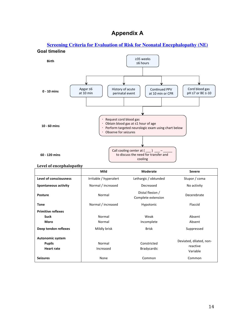# **Appendix A**

## **Screening Criteria for Evaluation of Risk for Neonatal Encephalopathy (NE) Goal timeline**



#### **Level of encephalopathy**

|                               | Mild                   | Moderate                               | <b>Severe</b>           |  |  |
|-------------------------------|------------------------|----------------------------------------|-------------------------|--|--|
| <b>Level of consciousness</b> | Irritable / hyperalert | Lethargic / obtunded                   | Stupor / coma           |  |  |
| <b>Spontaneous activity</b>   | Normal / increased     | Decreased                              | No activity             |  |  |
| <b>Posture</b>                | Normal                 | Distal flexion /<br>Complete extension | Decerebrate             |  |  |
| <b>Tone</b>                   | Normal / increased     | Hypotonic                              | Flaccid                 |  |  |
| <b>Primitive reflexes</b>     |                        |                                        |                         |  |  |
| <b>Suck</b>                   | Normal                 | Weak                                   | Absent                  |  |  |
| <b>Moro</b>                   | Normal                 | Incomplete                             | Absent                  |  |  |
| Deep tendon reflexes          | Mildly brisk           | <b>Brisk</b>                           | Suppressed              |  |  |
| Autonomic system              |                        |                                        |                         |  |  |
| <b>Pupils</b>                 | Normal                 | Constricted                            | Deviated, dilated, non- |  |  |
| Heart rate                    | Increased              | <b>Bradycardic</b>                     | reactive<br>Variable    |  |  |
| <b>Seizures</b>               | None                   | Common                                 | Common                  |  |  |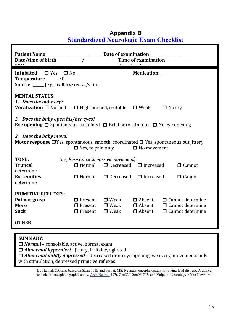| <b>Standardized Neurologic Exam Checklist</b>                                                                                                                                                                                                                                                            |  |
|----------------------------------------------------------------------------------------------------------------------------------------------------------------------------------------------------------------------------------------------------------------------------------------------------------|--|
| <b>Patient Name</b><br>Time of examination                                                                                                                                                                                                                                                               |  |
| <b>Intubated</b><br>$\Box$ Yes $\Box$ No<br>Medication: ________________<br>Temperature _____ <sup>o</sup> C<br><b>Source:</b> _____ (e.g., axillary/rectal/skin)                                                                                                                                        |  |
| <b>MENTAL STATUS:</b><br>1. Does the baby cry?<br>Vocalization □ Normal<br>$\Box$ High-pitched, irritable<br>$\Box$ Weak<br>$\Box$ No cry                                                                                                                                                                |  |
| 2. Does the baby open his/her eyes?<br><b>Eye opening <math>\Box</math></b> Spontaneous, sustained $\Box$ Brief or to stimulus $\Box$ No eye opening                                                                                                                                                     |  |
| 3. Does the baby move?<br><b>Motor response <math>\Box</math></b> Yes, spontaneous, smooth, coordinated $\Box$ Yes, spontaneous but jittery<br>$\Box$ No movement<br>$\Box$ Yes, to pain only                                                                                                            |  |
| TONE:                                                                                                                                                                                                                                                                                                    |  |
| (i.e., Resistance to passive movement)<br>$\Box$ Decreased<br>$\Box$ Normal<br><b>Truncal</b><br>$\Box$ Increased<br>$\Box$ Cannot                                                                                                                                                                       |  |
| determine<br><b>Extremities</b><br>□ Normal<br>$\Box$ Decreased<br>$\Box$ Increased<br>$\Box$ Cannot<br>determine                                                                                                                                                                                        |  |
| <b>PRIMITIVE REFLEXES:</b><br>Palmar grasp<br>$\Box$ Absent<br>$\Box$ Cannot determine<br>$\Box$ Present<br>$\Box$ Weak<br>$\Box$ Absent<br>Moro<br>$\Box$ Present<br>$\Box$ Weak<br>$\Box$ Cannot determine<br><b>Suck</b><br>$\Box$ Weak<br>$\Box$ Absent<br>$\Box$ Present<br>$\Box$ Cannot determine |  |
| <b>OTHER:</b>                                                                                                                                                                                                                                                                                            |  |

# **Appendix B Standardized Neurologic Exam Checklist**

## **SUMMARY:**

**□ Normal** – consolable, active, normal exam

 $\Box$  *Abnormal hyperalert* - jittery, irritable, agitated

□ *Abnormal mildly depressed* – decreased or no eye opening, weak cry, movements only with stimulation, depressed primitive reflexes

By Hannah C.Glass, based on Sarnat, HB and Sarnat, MS, Neonatal encephalopathy following fetal distress. A clinical and electroencephalographic study. Arch Neurol. 1976 Oct;33(10):696-705, and Volpe's "Neurology of the Newborn'.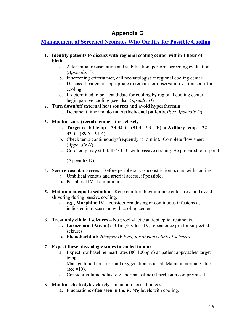# **Appendix C**

## **Management of Screened Neonates Who Qualify for Possible Cooling**

- **1. Identify patients to discuss with regional cooling center within 1 hour of birth.**
	- a. After initial resuscitation and stabilization, perform screening evaluation (*Appendix A*).
	- b. If screening criteria met, call neonatologist at regional cooling center.
	- c. Discuss if patient is appropriate to remain for observation vs. transport for cooling.
	- d. If determined to be a candidate for cooling by regional cooling center, begin passive cooling (see also *Appendix D*)
- **2. Turn down/off external heat sources and avoid hyperthermia**
	- **a.** Document time and **do not actively cool patients**. (See *Appendix D*).

## **3. Monitor core (rectal) temperature closely**

- **a. Target rectal temp =**  $33-34^{\circ}C$  **(91.4 93.2°F) or Axillary temp =**  $32$ **-33**°**C** (89.6 – 91.4).
- **b.** Check temp continuously/frequently (q15 min)**.** Complete flow sheet (*Appendix H*).
- **c.** Core temp may still fall <33.5C with passive cooling. Be prepared to respond

(Appendix D).

- **4. Secure vascular access** Before peripheral vasoconstriction occurs with cooling.
	- a. Umbilical venous and arterial access, if possible.
	- **b.** Peripheral IV at a minimum.
- **5. Maintain adequate sedation**  Keep comfortable/minimize cold stress and avoid shivering during passive cooling.
	- a. **e.g., Morphine IV –** consider prn dosing or continuous infusions as indicated in discussion with cooling center.
- **6. Treat only clinical seizures –** No prophylactic antiepileptic treatments.
	- **a. Lorazepam (Ativan):** 0.1mg/kg/dose IV, repeat once prn for suspected seizures.
	- **b. Phenobarbital:** *20mg/kg IV load, for obvious clinical seizures.*

## **7. Expect these physiologic states in cooled infants**

- a. Expect low baseline heart rates (80-100bpm) as patient approaches target temp.
- b. Manage blood pressure and oxygenation as usual. Maintain normal values (see  $#10$ ).
- **c.** Consider volume bolus (e.g., normal saline) if perfusion compromised.
- **8. Monitor electrolytes closely -** maintain normal ranges.
	- **a.** Fluctuations often seen in *Ca, K, Mg* levels with cooling.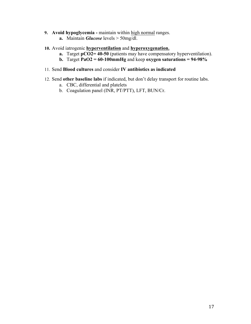- **9. Avoid hypoglycemia -** maintain within high normal ranges.
	- **a.** Maintain *Glucose* levels > 50mg/dl.
- **10.** Avoid iatrogenic **hyperventilation** and **hyperoxygenation.** 
	- **a.** Target **pCO2= 40-50** (patients may have compensatory hyperventilation).
	- **b.** Target  $\text{PaO2} = 60-100 \text{mmHg}$  and keep oxygen saturations = 94-98%
- 11. Send **Blood cultures** and consider **IV antibiotics as indicated**
- 12. Send **other baseline labs** if indicated, but don't delay transport for routine labs.
	- a. CBC, differential and platelets
	- b. Coagulation panel (INR, PT/PTT), LFT, BUN/Cr.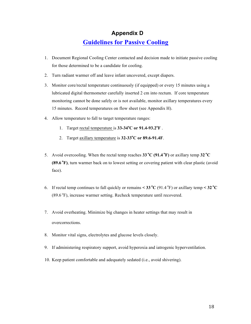## **Appendix D**

# **Guidelines for Passive Cooling**

- 1. Document Regional Cooling Center contacted and decision made to initiate passive cooling for those determined to be a candidate for cooling.
- 2. Turn radiant warmer off and leave infant uncovered, except diapers.
- 3. Monitor core/rectal temperature continuously (if equipped) or every 15 minutes using a lubricated digital thermometer carefully inserted 2 cm into rectum. If core temperature monitoring cannot be done safely or is not available, monitor axillary temperatures every 15 minutes. Record temperatures on flow sheet (see Appendix H).
- 4. Allow temperature to fall to target temperature ranges:
	- 1. Target rectal temperature is **33-34<sup>o</sup> C or 91.4-93.2<sup>o</sup> F** .
	- 2. Target axillary temperature is **32-33<sup>o</sup> C or 89.6-91.4F**.
- 5. Avoid overcooling. When the rectal temp reaches  $33^{\circ}C(91.4^{\circ}F)$  or axillary temp  $32^{\circ}C$ **(89.6 <sup>o</sup> F)**, turn warmer back on to lowest setting or covering patient with clear plastic (avoid face).
- 6. If rectal temp continues to fall quickly or remains  $\leq 33 \text{ °C}$  (91.4 °F) or axillary temp  $\leq 32 \text{ °C}$ (89.6 °F), increase warmer setting. Recheck temperature until recovered.
- 7. Avoid overheating. Minimize big changes in heater settings that may result in overcorrections.
- 8. Monitor vital signs, electrolytes and glucose levels closely.
- 9. If administering respiratory support, avoid hyperoxia and iatrogenic hyperventilation.
- 10. Keep patient comfortable and adequately sedated (i.e., avoid shivering).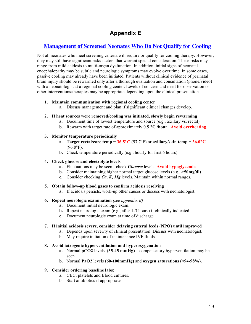# **Appendix E**

## **Management of Screened Neonates Who Do Not Qualify for Cooling**

Not all neonates who meet screening criteria will require or qualify for cooling therapy. However, they may still have significant risks factors that warrant special consideration. These risks may range from mild acidosis to multi-organ dysfunction. In addition, initial signs of neonatal encephalopathy may be subtle and neurologic symptoms may evolve over time. In some cases, passive cooling may already have been initiated. Patients without clinical evidence of perinatal brain injury should be rewarmed only after a thorough evaluation and consultation (phone/video) with a neonatologist at a regional cooling center. Levels of concern and need for observation or other interventions/therapies may be appropriate depending upon the clinical presentation.

## **1. Maintain communication with regional cooling center**

- a. Discuss management and plan if significant clinical changes develop.
- **2. If heat sources were removed/cooling was initiated, slowly begin rewarming** 
	- **a.** Document time of lowest temperature and source (e.g., axillary vs. rectal).
	- **b.** Rewarm with target rate of approximately **0.5** °**C /hour. Avoid overheating.**

## **3. Monitor temperature periodically**

- **a. Target rectal/core temp =**  $36.5^{\circ}C$  **(97.7°F) or axillary/skin temp =**  $36.0^{\circ}C$  $(96.8^{\circ}F)$ .
- **b.** Check temperature periodically (e.g., hourly for first 6 hours).

#### **4. Check glucose and electrolyte levels.**

- **a.** Fluctuations may be seen check *Glucose* levels. **Avoid hypoglycemia**
- **b.** Consider maintaining higher normal target glucose levels (e.g., **>50mg/dl**)
- **c.** Consider checking *Ca, K, Mg* levels. Maintain within normal ranges.

#### **5. Obtain follow-up blood gases to confirm acidosis resolving**

**a.** If acidosis persists, work-up other causes or discuss with neonatologist.

## **6. Repeat neurologic examination** *(see appendix B)*

- **a.** Document initial neurologic exam.
- **b.** Repeat neurologic exam (e.g., after 1-3 hours) if clinically indicated.
- **c.** Document neurologic exam at time of discharge.

## **7. If initial acidosis severe, consider delaying enteral feeds (NPO) until improved**

- **a.** Depends upon severity of clinical presentation. Discuss with neonatologist.
- b. May require initiation of maintenance IVF fluids.

## **8. Avoid iatrogenic hyperventilation and hyperoxygenation**

- **a.** Normal **pCO2** levels (**35-45 mmHg) –** compensatory hyperventilation may be seen.
- **b.** Normal **PaO2** levels (**60-100mmHg)** and **oxygen saturations (<94-98%).**

## **9. Consider ordering baseline labs:**

- a. CBC, platelets and Blood cultures.
- b. Start antibiotics if appropriate.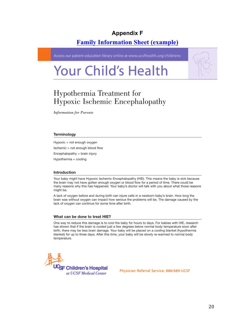# **Appendix F**

# **Family Information Sheet (example)**

Access our patient education library online at www.ucsfhealth.org/childrens

# **Your Child's Health**



# Hypothermia Treatment for Hypoxic Ischemic Encephalopathy

*Information for Parents* 

#### **Terminology**

Hypoxic = not enough oxygen

Ischemic = not enough blood flow

Encephalopathy = brain injury

Hypothermia = cooling

#### Introduction

Your baby might have Hypoxic Ischemic Encephalopathy (HIE). This means the baby is sick because the brain may not have gotten enough oxygen or blood flow for a period of time. There could be many reasons why this has happened. Your baby's doctor will talk with you about what those reasons might be.

A lack of oxygen before and during birth can injure cells in a newborn baby's brain. How long the brain was without oxygen can impact how serious the problems will be. The damage caused by the lack of oxygen can continue for some time after birth.

#### What can be done to treat HIE?

One way to reduce this damage is to cool the baby for hours to days. For babies with HIE, research has shown that if the brain is cooled just a few degrees below normal body temperature soon after birth, there may be less brain damage. Your baby will be placed on a cooling blanket (hypothermia blanket) for up to three days. After this time, your baby will be slowly re-warmed to normal body temperature.



Physician Referral Service: 888/689-UCSF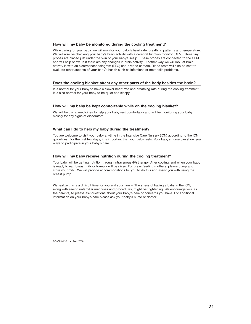#### How will my baby be monitored during the cooling treatment?

While caring for your baby, we will monitor your baby's heart rate, breathing patterns and temperature. We will also be checking your baby's brain activity with a cerebral function monitor (CFM). Three tiny probes are placed just under the skin of your baby's scalp. These probes are connected to the CFM and will help show us if there are any changes in brain activity. Another way we will look at brain activity is with an electroencephalogram (EEG) and a video camera. Blood tests will also be sent to evaluate other aspects of your baby's health such as infections or metabolic problems.

#### Does the cooling blanket affect any other parts of the body besides the brain?

It is normal for your baby to have a slower heart rate and breathing rate during the cooling treatment. It is also normal for your baby to be quiet and sleepy.

#### How will my baby be kept comfortable while on the cooling blanket?

We will be giving medicines to help your baby rest comfortably and will be monitoring your baby closely for any signs of discomfort.

#### What can I do to help my baby during the treatment?

You are welcome to visit your baby anytime in the Intensive Care Nursery (ICN) according to the ICN guidelines. For the first few days, it is important that your baby rests. Your baby's nurse can show you ways to participate in your baby's care.

#### How will my baby receive nutrition during the cooling treatment?

Your baby will be getting nutrition through intravenous (IV) therapy. After cooling, and when your baby is ready to eat, breast milk or formula will be given. For breastfeeding mothers, please pump and store your milk. We will provide accommodations for you to do this and assist you with using the breast pump.

We realize this is a difficult time for you and your family. The stress of having a baby in the ICN, along with seeing unfamiliar machines and procedures, might be frightening. We encourage you, as the parents, to please ask questions about your baby's care or concerns you have. For additional information on your baby's care please ask your baby's nurse or doctor.

SDICN0435 . Rev 7/08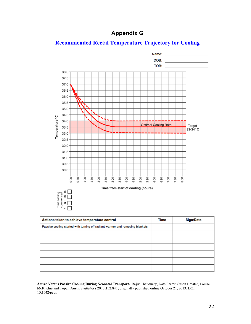# **Appendix G**



## **Recommended Rectal Temperature Trajectory for Cooling**

| Actions taken to achieve temperature control                                  | Time | <b>Sign/Date</b> |
|-------------------------------------------------------------------------------|------|------------------|
| Passive cooling started with turning off radiant warmer and removing blankets |      |                  |
|                                                                               |      |                  |
|                                                                               |      |                  |
|                                                                               |      |                  |
|                                                                               |      |                  |
|                                                                               |      |                  |
|                                                                               |      |                  |

**Active Versus Passive Cooling During Neonatal Transport.** Rajiv Chaudhary, Kate Farrer, Susan Broster, Louise McRitchie and Topun Austin *Pediatrics* 2013;132;841; originally published online October 21, 2013; DOI: 10.1542/peds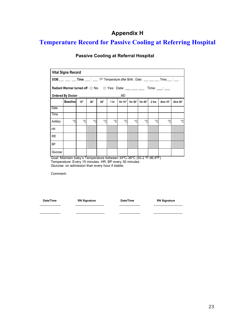# **Appendix H**

# **Temperature Record for Passive Cooling at Referring Hospital**

| <b>Vital Signs Record</b>                                                                                         |                                                                      |     |     |     |      |               |         |         |       |          |          |
|-------------------------------------------------------------------------------------------------------------------|----------------------------------------------------------------------|-----|-----|-----|------|---------------|---------|---------|-------|----------|----------|
| <b>DOB</b> : ___ ___ ___ Time: ___: ____ 1 <sup>ST</sup> Temperature after Birth: Date: ___ ___ ___ Time: __: ___ |                                                                      |     |     |     |      |               |         |         |       |          |          |
| Ordered By Doctor: ________                                                                                       |                                                                      |     |     |     |      |               |         |         |       |          |          |
|                                                                                                                   | <b>Baselinel</b>                                                     | 15" | 30" | 45" | 1 hr | MD<br>1hr 15" | 1hr 30" | 1hr 45" | 2 hrs | 2hrs 15" | 2hrs 30" |
|                                                                                                                   |                                                                      |     |     |     |      |               |         |         |       |          |          |
| Date                                                                                                              |                                                                      |     |     |     |      |               |         |         |       |          |          |
| Time                                                                                                              |                                                                      |     |     |     |      |               |         |         |       |          |          |
| Axillary                                                                                                          | °C                                                                   | °C  | °C  | °C  | °C   | °C            | °C      | °C      | °۲    | °C       | °۲       |
| <b>HR</b>                                                                                                         |                                                                      |     |     |     |      |               |         |         |       |          |          |
| <b>RR</b>                                                                                                         |                                                                      |     |     |     |      |               |         |         |       |          |          |
| <b>BP</b>                                                                                                         |                                                                      |     |     |     |      |               |         |         |       |          |          |
| Glucose                                                                                                           |                                                                      |     |     |     |      |               |         |         |       |          |          |
|                                                                                                                   | Goal: Maintain baby's Temperature between 34°C-36°C (93.2 °F-96.8°F) |     |     |     |      |               |         |         |       |          |          |

## **Passive Cooling at Referral Hospital**

 Goal: Maintain baby's Temperature between 34ºC-36ºC (93.2 ºF-96.8ºF) Temperature: Every 15 minutes. HR, BP every 30 minutes Glucose: on admission than every hour if stable.

\_\_\_\_\_\_\_\_\_\_\_ \_\_\_\_\_\_\_\_\_\_\_\_\_\_\_ \_\_\_\_\_\_\_\_\_\_\_ \_\_\_\_\_\_\_\_\_\_\_\_\_\_\_

Comment:

 **Date/Time RN Signature Date/Time RN Signature** 

\_\_\_\_\_\_\_\_\_\_\_ \_\_\_\_\_\_\_\_\_\_\_\_\_\_\_ \_\_\_\_\_\_\_\_\_\_\_ \_\_\_\_\_\_\_\_\_\_\_\_\_\_\_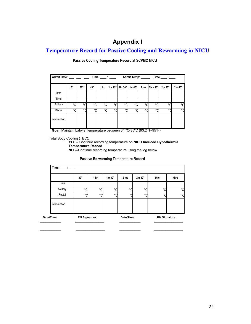# **Appendix I**

## **Temperature Record for Passive Cooling and Rewarming in NICU**

# **Admit Date**: \_\_\_ \_\_\_ \_\_\_ **Time**: \_\_\_\_ : \_\_\_\_ **Admit Temp**: \_\_\_\_\_\_ **Time**:\_\_\_\_ : \_\_\_\_ **15" 30" 45" 1 hr 1hr 15" 1hr 30" 1hr 45" 2 hrs 2hrs 15" 2hr 30" 2hr 45"** Date Time Axillary °C °C °C °C °C °C °C °C °C °C °C Rectal °C °C °C °C °C °C °C °C °C °C °C Intervention

**Passive Cooling Temperature Record at SCVMC NICU**

**Goal**: Maintain baby's Temperature between 34 ºC-35ºC (93.2 ºF-95ºF)

Total Body Cooling (TBC):

 $\mathcal{L}_\text{max}$ 

**YES** – Continue recording temperature on **NICU Induced Hypothermia Temperature Record**

**NO** ---Continue recording temperature using the log below

#### **Passive Re-warming Temperature Record**

|              | 30" | 1 <sub>hr</sub> | 1hr 30" | 2 hrs   | 2hr 30" | 3hrs           | 4hrs    |
|--------------|-----|-----------------|---------|---------|---------|----------------|---------|
| Time         |     |                 |         |         |         |                |         |
| Axillary     | °C  | $\circ$         | °∩      | $\sim$  | ∘∩      | °C             | °C      |
| Rectal       | °۲  | $\circ$         | $\circ$ | $\circ$ | $\circ$ | $\circ$ $\cap$ | $\circ$ |
| Intervention |     |                 |         |         |         |                |         |

\_\_\_\_\_\_\_\_\_\_\_ \_\_\_\_\_\_\_\_\_\_\_\_\_\_\_ \_\_\_\_\_\_\_\_\_\_\_ \_\_\_\_\_\_\_\_\_\_\_\_\_\_\_